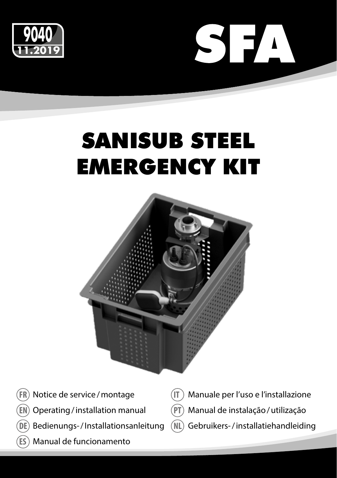



# SANISUB STEEL EMERGENCY KIT



- Notice de service/montage **FR**
- Operating/installation manual **EN**
- Bedienungs-/Installationsanleitung **DE**
- Manual de funcionamento **ES**
- Manuale per l'uso e l'installazione **IT**
- Manual de instalação/utilização **PT**
- Gebruikers-/installatiehandleiding **NL**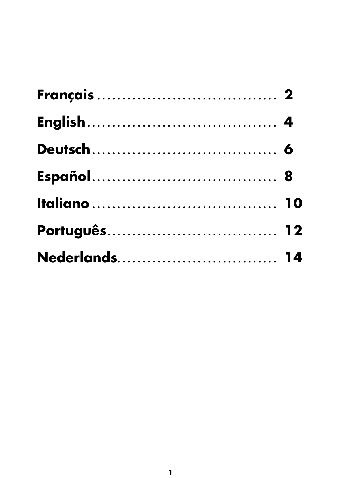| Nederlands 14 |  |
|---------------|--|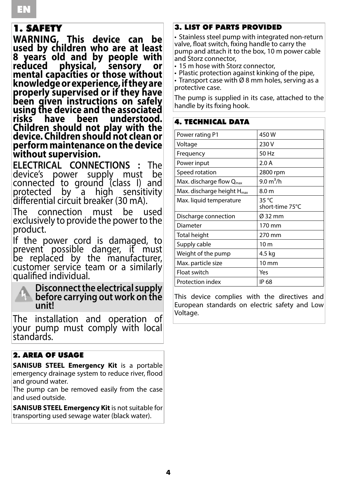### 1. SAFETY

**WARNING, This device can be used by children who are at least 8 years old and by people with reduced physical, sensory or mental capacities or those without knowledge or experience, if they are properly supervised or if they have been given instructions on safely using the device and the associated**  understood. **Children should not play with the device. Children should not clean or perform maintenance on the device without supervision.**

**ELECTRICAL CONNECTIONS :** The device's power supply must connected to ground (class I) and<br>protected by a high sensitivity protected differential circuit breaker (30 mA).

The connection must be used exclusively to provide the power to the product.

If the power cord is damaged, to prevent possible danger, it must be replaced by the manufacturer, customer service team or a similarly qualified individual.



**Disconnect the electrical supply before carrying out work on the unit!**

The installation and operation of<br>vour pump must comply with local standards.

### 2. AREA OF USAGE

**SANISUB STEEL Emergency Kit** is a portable emergency drainage system to reduce river, flood and ground water.

The pump can be removed easily from the case and used outside.

**SANISUB STEEL Emergency Kit** is not suitable for transporting used sewage water (black water).

### 3. LIST OF PARTS PROVIDED

• Stainless steel pump with integrated non-return valve, float switch, fixing handle to carry the pump and attach it to the box, 10 m power cable and Storz connector,

• 15 m hose with Storz connector,

• Plastic protection against kinking of the pipe,

• Transport case with Ø 8 mm holes, serving as a protective case.

The pump is supplied in its case, attached to the handle by its fixing hook.

### 4. TECHNICAL DATA

| Power rating P1                        | 450W                     |
|----------------------------------------|--------------------------|
| Voltage                                | 230 V                    |
| Frequency                              | 50 Hz                    |
| Power input                            | 2.0A                     |
| Speed rotation                         | 2800 rpm                 |
| Max. discharge flow $Q_{\text{max}}$   | $9.0 \text{ m}^3/h$      |
| Max. discharge height $H_{\text{max}}$ | 8.0 m                    |
| Max. liquid temperature                | 35 °C<br>short-time 75°C |
| Discharge connection                   | Ø 32 mm                  |
| Diameter                               | 170 mm                   |
| Total height                           | 270 mm                   |
| Supply cable                           | 10 <sub>m</sub>          |
| Weight of the pump                     | 4.5 kg                   |
| Max. particle size                     | $10 \text{ mm}$          |
| Float switch                           | Yes                      |
| Protection index                       | IP 68                    |

This device complies with the directives and European standards on electric safety and Low Voltage.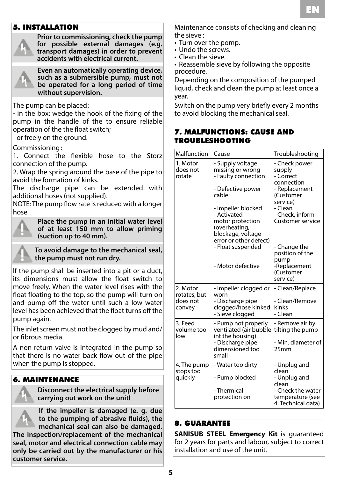## FR EN

### 5. INSTALLATION



**Prior to commissioning, check the pump for possible external damages (e.g. transport damages) in order to prevent accidents with electrical current.**



**Even an automatically operating device, such as a submersible pump, must not be operated for a long period of time without supervision.**

The pump can be placed:

- in the box: wedge the hook of the fixing of the pump in the handle of the to ensure reliable operation of the the float switch;

- or freely on the ground.

### Commissioning:

1. Connect the flexible hose to the Storz connection of the pump.

2. Wrap the spring around the base of the pipe to avoid the formation of kinks.

The discharge pipe can be extended with additional hoses (not supplied).

NOTE: The pump flow rate is reduced with a longer hose.

**Place the pump in an initial water level of at least 150 mm to allow priming (suction up to 40 mm).**



**To avoid damage to the mechanical seal, the pump must not run dry.**

If the pump shall be inserted into a pit or a duct, its dimensions must allow the float switch to move freely. When the water level rises with the float floating to the top, so the pump will turn on and pump off the water until such a low water level has been achieved that the float turns off the pump again.

The inlet screen must not be clogged by mud and/ or fibrous media.

A non-return valve is integrated in the pump so that there is no water back flow out of the pipe when the pump is stopped.

### 6. MAINTENANCE

**Disconnect the electrical supply before carrying out work on the unit!**

**If the impeller is damaged (e. g. due to the pumping of abrasive fluids), the mechanical seal can also be damaged.** 

**The inspection/replacement of the mechanical seal, motor and electrical connection cable may only be carried out by the manufacturer or his customer service.**

Maintenance consists of checking and cleaning the sieve :

- Turn over the pomp.
- Undo the screws.
- Clean the sieve.

• Reassemble sieve by following the opposite procedure.

Depending on the composition of the pumped liquid, check and clean the pump at least once a year.

Switch on the pump very briefly every 2 months to avoid blocking the mechanical seal.

### 7. MALFUNCTIONS: CAUSE AND TROUBLESHOOTING

| Malfunction                    | Cause                                                             | Troubleshooting                                             |
|--------------------------------|-------------------------------------------------------------------|-------------------------------------------------------------|
| 1. Motor<br>does not<br>rotate | - Supply voltage<br>missing or wrong<br>- Faulty connection       | - Check power<br>supply<br>- Correct<br>connection          |
|                                | - Defective power<br>cable                                        | - Replacement<br>(Customer<br>service)                      |
|                                | - Impeller blocked<br>- Activated<br>motor protection             | - Clean<br>- Check, inform<br>Customer service              |
|                                | (overheating,<br>blockage, voltage                                |                                                             |
|                                | error or other defect)<br>- Float suspended                       | - Change the<br>position of the<br>pump                     |
|                                | - Motor defective                                                 | -Replacement<br>(Customer<br>service)                       |
| 2. Motor<br>rotates, but       | - Impeller clogged or<br>worn                                     | - Clean/Replace                                             |
| does not<br>convey             | - Discharge pipe<br>clogged/hose kinked<br>- Sieve clogged        | - Clean/Remove<br>kinks<br>- Clean                          |
| 3. Feed<br>volume too<br>low   | - Pump not properly<br>ventilated (air bubble<br>int the housing) | - Remove air by<br>tilting the pump                         |
|                                | - Discharge pipe<br>dimensioned too<br>small                      | - Min. diameter of<br>25mm                                  |
| 4. The pump<br>stops too       | - Water too dirty                                                 | - Unplug and<br>clean                                       |
| quickly                        | - Pump blocked                                                    | - Unplug and<br>clean                                       |
|                                | - Thermical<br>protection on                                      | - Check the water<br>temperature (see<br>4. Technical data) |

### 8. GUARANTEE

**SANISUB STEEL Emergency Kit** is guaranteed for 2 years for parts and labour, subject to correct installation and use of the unit.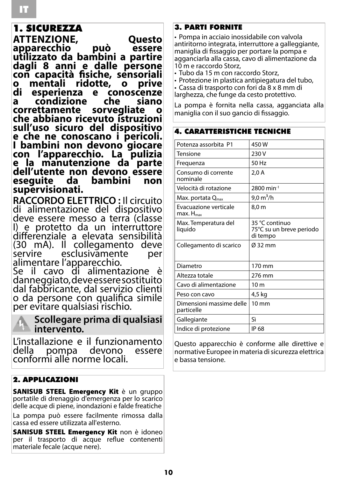### 1. SICUREZZA

**ATTENZIONE, Questo apparecchio può essere utilizzato da bambini a partire dagli 8 anni e dalle persone con capacità fisiche, sensoriali o mentali ridotte, o prive di esperienza e conoscenze condizione che si**a<br>ettamente sorvegliate **correttamente sorvegliate o che abbiano ricevuto istruzioni sull'uso sicuro del dispositivo e che ne conoscano i pericoli. I bambini non devono giocare con l'apparecchio. La pulizia e la manutenzione da parte dell'utente non devono essere eseguite da bambini non supervisionati.**

**RACCORDO ELETTRICO :** Il circuito di alimentazione del dispositivo deve essere messo a terra (classe I) e protetto da un interruttore differenziale a elevata sensibilità (30 mA). Il collegamento deve esclusivamente alimentare l'apparecchio.

Se il cavo di alimentazione è danneggiato, deve essere sostituito dal fabbricante, dal servizio clienti o da persone con qualifica simile per evitare qualsiasi rischio.

## **intervento.**

## **Scollegare prima di qualsiasi**

L'installazione e il funzionamento della pompa devono essere conformi alle norme locali.

### 2. APPLICAZIONI

SANISUB STEEL Emergency Kit è un gruppo portatile di drenaggio d'emergenza per lo scarico delle acque di piene, inondazioni e falde freatiche

La pompa può essere facilmente rimossa dalla cassa ed essere utilizzata all'esterno.

SANISUB STEEL Emergency Kit non è idoneo per il trasporto di acque reflue contenenti materiale fecale (acque nere).

### 3. PARTI FORNITE

• Pompa in acciaio inossidabile con valvola antiritorno integrata, interruttore a galleggiante, maniglia di fissaggio per portare la pompa e agganciarla alla cassa, cavo di alimentazione da 10 m e raccordo Storz,

• Tubo da 15 m con raccordo Storz,

• Protezione in plastica antipiegatura del tubo,

• Cassa di trasporto con fori da 8 x 8 mm di larghezza, che funge da cesto protettivo.

A CADATTEDISTICHE TECNICHE

La pompa è fornita nella cassa, agganciata alla maniglia con il suo gancio di fissaggio.

| Potenza assorbita P1                             | 450W                                                   |
|--------------------------------------------------|--------------------------------------------------------|
| Tensione                                         | 230 V                                                  |
| Frequenza                                        | 50 Hz                                                  |
| Consumo di corrente<br>nominale                  | 2,0A                                                   |
| Velocità di rotazione                            | 2800 min <sup>-1</sup>                                 |
| Max. portata $Q_{\text{max}}$                    | 9,0 $m^3/h$                                            |
| Evacuazione verticale<br>$max.$ H <sub>max</sub> | 8,0 m                                                  |
| Max. Temperatura del<br>liquido                  | 35 °C continuo<br>75°C su un breve periodo<br>di tempo |
| Collegamento di scarico                          | Ø 32 mm                                                |
| Diametro                                         | 170 mm                                                 |
| Altezza totale                                   | 276 mm                                                 |
| Cavo di alimentazione                            | 10 <sub>m</sub>                                        |
| Peso con cavo                                    | 4,5 kg                                                 |
| Dimensioni massime delle<br>particelle           | $10 \text{ mm}$                                        |
| Gallegiante                                      | Sì                                                     |
| Indice di protezione                             | IP 68                                                  |

Questo apparecchio è conforme alle direttive e normative Europee in materia di sicurezza elettrica e bassa tensione.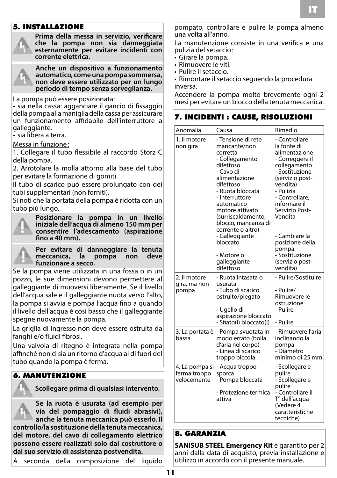### 5. INSTALLAZIONE



**Prima della messa in servizio, verificare che la pompa non sia danneggiata esternamente per evitare incidenti con corrente elettrica.**



**Anche un dispositivo a funzionamento automatico, come una pompa sommersa, non deve essere utilizzato per un lungo periodo di tempo senza sorveglianza.**

La pompa può essere posizionata :

• sia nella cassa: agganciare il gancio di fissaggio della pompa alla maniglia della cassa per assicurare un funzionamento affidabile dell'interruttore a galleggiante.

• sia libera a terra.

#### Messa in funzione:

1. Collegare il tubo flessibile al raccordo Storz C della pompa.

2. Arrotolare la molla attorno alla base del tubo per evitare la formazione di gomiti.

Il tubo di scarico può essere prolungato con dei tubi supplementari (non forniti).

Si noti che la portata della pompa è ridotta con un tubo più lungo.



**Posizionare la pompa in un livello iniziale dell'acqua di almeno 150 mm per consentire l'adescamento (aspirazione fino a 40 mm).**

**Per evitare di danneggiare la tenuta**  meccanica, la **funzionare a secco.**

Se la pompa viene utilizzata in una fossa o in un pozzo, le sue dimensioni devono permettere al galleggiante di muoversi liberamente. Se il livello dell'acqua sale e il galleggiante nuota verso l'alto, la pompa si avvia e pompa l'acqua fino a quando il livello dell'acqua è così basso che il galleggiante spegne nuovamente la pompa.

La griglia di ingresso non deve essere ostruita da fanghi e/o fluidi fibrosi.

Una valvola di ritegno è integrata nella pompa affinché non ci sia un ritorno d'acqua al di fuori del tubo quando la pompa è ferma.

### 6. MANUTENZIONE

**Scollegare prima di qualsiasi intervento.**

**Se la ruota è usurata (ad esempio per via del pompaggio di fluidi abrasivi), anche la tenuta meccanica può esserlo. Il controllo/la sostituzione della tenuta meccanica, del motore, del cavo di collegamento elettrico possono essere realizzati solo dal costruttore o dal suo servizio di assistenza postvendita.**

A seconda della composizione del liquido

pompato, controllare e pulire la pompa almeno una volta all'anno.

La manutenzione consiste in una verifica e una pulizia del setaccio: • Girare la pompa.

- 
- Rimuovere le viti.
- Pulire il setaccio.

• Rimontare il setaccio seguendo la procedura inversa.

Accendere la pompa molto brevemente ogni 2 mesi per evitare un blocco della tenuta meccanica.

#### 7. INCIDENTI : CAUSE, RISOLUZIONI

| Anomalia                                      | Causa                                                                                                                                                                                                                                                                                                                                      | Rimedio                                                                                                                                                                                                                                                                                                     |
|-----------------------------------------------|--------------------------------------------------------------------------------------------------------------------------------------------------------------------------------------------------------------------------------------------------------------------------------------------------------------------------------------------|-------------------------------------------------------------------------------------------------------------------------------------------------------------------------------------------------------------------------------------------------------------------------------------------------------------|
| 1. Il motore<br>non gira                      | - Tensione di rete<br>mancante/non<br>corretta<br>- Collegamento<br>difettoso<br>- Cavo di<br>alimentazione<br>difettoso<br>- Ruota bloccata<br>- Interruttore<br>automatico<br>motore attivato<br>(surriscaldamento.<br>blocco, mancanza di<br>corrente o altro)<br>- Galleggiante<br>bloccato<br>- Motore o<br>galleggiante<br>difettoso | - Controllare<br>la fonte di<br>alimentazione<br>- Correggere il<br>collegamento<br>- Sostituzione<br>(servizio post-<br>vendita)<br>- Pulizia<br>- Controllare,<br>informare il<br>Servizio Post-<br>Vendita<br>- Cambiare la<br>posizione della<br>pompa<br>- Sostituzione<br>(servizio post-<br>vendita) |
| 2. Il motore<br>gira, ma non<br>pompa         | - Ruota intasata o<br>usurata<br>- Tubo di scarico<br>ostruito/piegato<br>- Ugello di<br>aspirazione bloccato<br>- Sfiato(i) bloccato(i)                                                                                                                                                                                                   | - Pulire/Sostituire<br>- Pulire/<br>Rimuovere le<br>ostruzione<br>- Pulire<br>- Pulire                                                                                                                                                                                                                      |
| 3. La portata è<br>bassa                      | - Pompa svuotata in<br>modo errato (bolla<br>d'aria nel corpo)<br>- Linea di scarico<br>troppo piccola                                                                                                                                                                                                                                     | - Rimuovere l'aria<br>inclinando la<br>pompa<br>- Diametro<br>minimo di 25 mm                                                                                                                                                                                                                               |
| 4. La pompa si<br>ferma troppo<br>velocemente | - Acqua troppo<br>sporca<br>- Pompa bloccata<br>- Protezione termica<br>attiva                                                                                                                                                                                                                                                             | - Scollegare e<br>pulire<br>- Scollegare e<br>pulire<br>- Controllare il<br>T° dell'acqua<br>(Vedere 4.<br>caratteristiche<br>tecniche)                                                                                                                                                                     |

### 8. GARANZIA

**SANISUB STEEL Emergency Kit** è garantito per 2 anni dalla data di acquisto, previa installazione e utilizzo in accordo con il presente manuale.